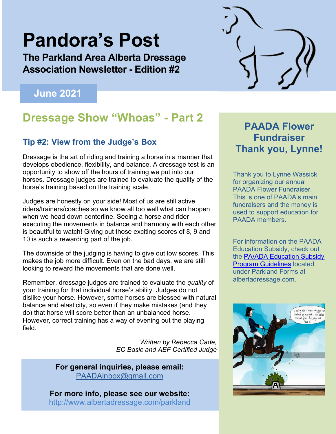# **Pandora's Post**

**The Parkland Area Alberta Dressage Association Newsletter - Edition #2** 

## **June 2021**

## **Dressage Show "Whoas" - Part 2**

## **Tip #2: View from the Judge's Box**

Dressage is the art of riding and training a horse in a manner that develops obedience, flexibility, and balance. A dressage test is an opportunity to show off the hours of training we put into our horses. Dressage judges are trained to evaluate the quality of the horse's training based on the training scale.

Judges are honestly on your side! Most of us are still active riders/trainers/coaches so we know all too well what can happen when we head down centerline. Seeing a horse and rider executing the movements in balance and harmony with each other is beautiful to watch! Giving out those exciting scores of 8, 9 and 10 is such a rewarding part of the job.

The downside of the judging is having to give out low scores. This makes the job more difficult. Even on the bad days, we are still looking to reward the movements that are done well.

Remember, dressage judges are trained to evaluate the *quality* of your training for that individual horse's ability. Judges do not dislike your horse. However, some horses are blessed with natural balance and elasticity, so even if they make mistakes (and they do) that horse will score better than an unbalanced horse. However, correct training has a way of evening out the playing field.

> *Written by Rebecca Cade, EC Basic and AEF Certified Judge*

**For general inquiries, please email:**  PAADAinbox@gmail.com

**For more info, please see our website:** http://www.albertadressage.com/parkland

## **PAADA Flower Fundraiser Thank you, Lynne!**

Thank you to Lynne Wassick for organizing our annual PAADA Flower Fundraiser. This is one of PAADA's main fundraisers and the money is used to support education for PAADA members.

For information on the PAADA Education Subsidy, check out the PA/ADA Education Subsidy Program Guidelines located under Parkland Forms at albertadressage.com.